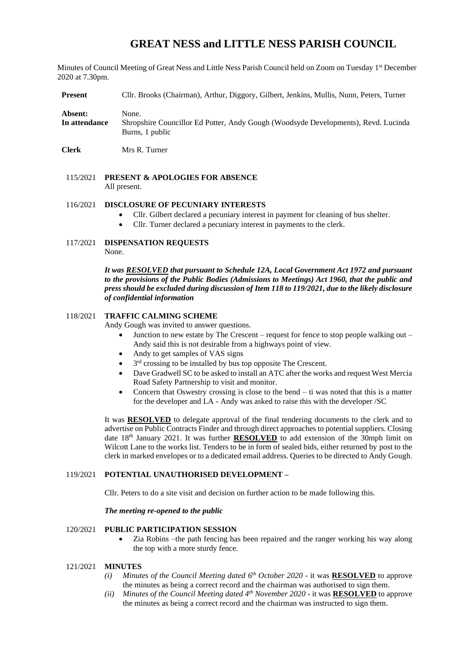# **GREAT NESS and LITTLE NESS PARISH COUNCIL**

Minutes of Council Meeting of Great Ness and Little Ness Parish Council held on Zoom on Tuesday 1st December 2020 at 7.30pm.

**Present** Cllr. Brooks (Chairman), Arthur, Diggory, Gilbert, Jenkins, Mullis, Nunn, Peters, Turner

**Absent:** None. **In attendance** Shropshire Councillor Ed Potter, Andy Gough (Woodsyde Developments), Revd. Lucinda Burns, 1 public

**Clerk** Mrs R. Turner

115/2021 **PRESENT & APOLOGIES FOR ABSENCE**  All present.

### 116/2021 **DISCLOSURE OF PECUNIARY INTERESTS**

- Cllr. Gilbert declared a pecuniary interest in payment for cleaning of bus shelter.
- Cllr. Turner declared a pecuniary interest in payments to the clerk.
- 117/2021 **DISPENSATION REQUESTS** None.

*It was RESOLVED that pursuant to Schedule 12A, Local Government Act 1972 and pursuant to the provisions of the Public Bodies (Admissions to Meetings) Act 1960, that the public and press should be excluded during discussion of Item 118 to 119/2021, due to the likely disclosure of confidential information*

#### 118/2021 **TRAFFIC CALMING SCHEME**

Andy Gough was invited to answer questions.

- Junction to new estate by The Crescent request for fence to stop people walking out Andy said this is not desirable from a highways point of view.
- Andy to get samples of VAS signs
- $\bullet$  3<sup>rd</sup> crossing to be installed by bus top opposite The Crescent.
- Dave Gradwell SC to be asked to install an ATC after the works and request West Mercia Road Safety Partnership to visit and monitor.
- Concern that Oswestry crossing is close to the bend ti was noted that this is a matter for the developer and LA - Andy was asked to raise this with the developer /SC

It was **RESOLVED** to delegate approval of the final tendering documents to the clerk and to advertise on Public Contracts Finder and through direct approaches to potential suppliers. Closing date 18<sup>th</sup> January 2021. It was further **RESOLVED** to add extension of the 30mph limit on Wilcott Lane to the works list. Tenders to be in form of sealed bids, either returned by post to the clerk in marked envelopes or to a dedicated email address. Queries to be directed to Andy Gough.

### 119/2021 **POTENTIAL UNAUTHORISED DEVELOPMENT –**

Cllr. Peters to do a site visit and decision on further action to be made following this.

#### *The meeting re-opened to the public*

### 120/2021 **PUBLIC PARTICIPATION SESSION**

• Zia Robins –the path fencing has been repaired and the ranger working his way along the top with a more sturdy fence.

#### 121/2021 **MINUTES**

- *(i) Minutes of the Council Meeting dated*  $6<sup>th</sup>$  *October 2020 it was RESOLVED to approve* the minutes as being a correct record and the chairman was authorised to sign them.
- *(ii) Minutes of the Council Meeting dated 4th November 2020* it was **RESOLVED** to approve the minutes as being a correct record and the chairman was instructed to sign them.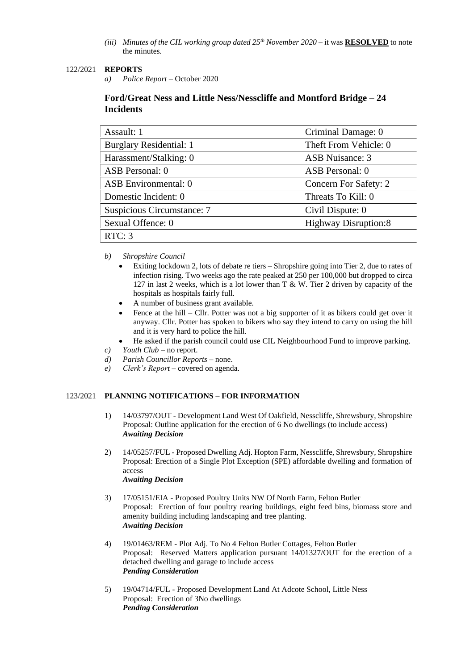*(iii) Minutes of the CIL working group dated 25th November 2020* – it was **RESOLVED** to note the minutes.

### 122/2021 **REPORTS**

*a) Police Report* – October 2020

# **Ford/Great Ness and Little Ness/Nesscliffe and Montford Bridge – 24 Incidents**

| Assault: 1                     | Criminal Damage: 0          |  |  |
|--------------------------------|-----------------------------|--|--|
| <b>Burglary Residential: 1</b> | Theft From Vehicle: 0       |  |  |
| Harassment/Stalking: 0         | <b>ASB</b> Nuisance: 3      |  |  |
| ASB Personal: 0                | ASB Personal: 0             |  |  |
| <b>ASB</b> Environmental: 0    | Concern For Safety: 2       |  |  |
| Domestic Incident: 0           | Threats To Kill: 0          |  |  |
| Suspicious Circumstance: 7     | Civil Dispute: 0            |  |  |
| Sexual Offence: 0              | <b>Highway Disruption:8</b> |  |  |
| RTC: 3                         |                             |  |  |

### *b) Shropshire Council*

- Exiting lockdown 2, lots of debate re tiers Shropshire going into Tier 2, due to rates of infection rising. Two weeks ago the rate peaked at 250 per 100,000 but dropped to circa 127 in last 2 weeks, which is a lot lower than  $T \& W$ . Tier 2 driven by capacity of the hospitals as hospitals fairly full.
- A number of business grant available.
- Fence at the hill Cllr. Potter was not a big supporter of it as bikers could get over it anyway. Cllr. Potter has spoken to bikers who say they intend to carry on using the hill and it is very hard to police the hill.
- He asked if the parish council could use CIL Neighbourhood Fund to improve parking.
- *c*) *Youth Club* no report.
- *d) Parish Councillor Reports* none.
- *e) Clerk's Report* covered on agenda.

# 123/2021 **PLANNING NOTIFICATIONS** – **FOR INFORMATION**

- 1) 14/03797/OUT Development Land West Of Oakfield, Nesscliffe, Shrewsbury, Shropshire Proposal: Outline application for the erection of 6 No dwellings (to include access) *Awaiting Decision*
- 2) 14/05257/FUL Proposed Dwelling Adj. Hopton Farm, Nesscliffe, Shrewsbury, Shropshire Proposal: Erection of a Single Plot Exception (SPE) affordable dwelling and formation of access *Awaiting Decision*
- 3) 17/05151/EIA Proposed Poultry Units NW Of North Farm, Felton Butler Proposal: Erection of four poultry rearing buildings, eight feed bins, biomass store and amenity building including landscaping and tree planting. *Awaiting Decision*
- 4) 19/01463/REM Plot Adj. To No 4 Felton Butler Cottages, Felton Butler Proposal: Reserved Matters application pursuant 14/01327/OUT for the erection of a detached dwelling and garage to include access *Pending Consideration*
- 5) 19/04714/FUL Proposed Development Land At Adcote School, Little Ness Proposal: Erection of 3No dwellings *Pending Consideration*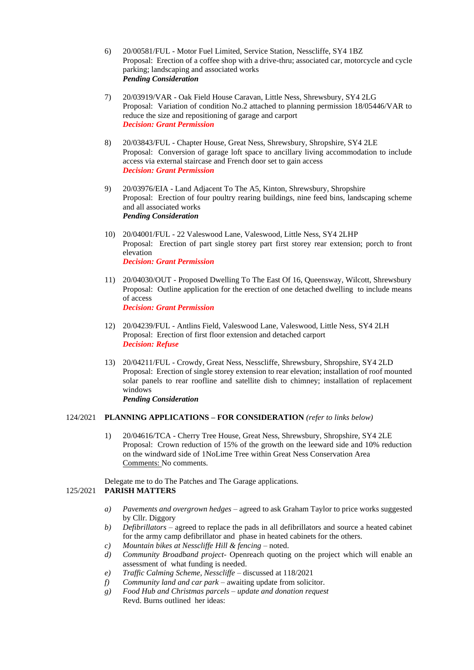- 6) 20/00581/FUL Motor Fuel Limited, Service Station, Nesscliffe, SY4 1BZ Proposal: Erection of a coffee shop with a drive-thru; associated car, motorcycle and cycle parking; landscaping and associated works *Pending Consideration*
- 7) 20/03919/VAR Oak Field House Caravan, Little Ness, Shrewsbury, SY4 2LG Proposal: Variation of condition No.2 attached to planning permission 18/05446/VAR to reduce the size and repositioning of garage and carport *Decision: Grant Permission*
- 8) 20/03843/FUL Chapter House, Great Ness, Shrewsbury, Shropshire, SY4 2LE Proposal: Conversion of garage loft space to ancillary living accommodation to include access via external staircase and French door set to gain access *Decision: Grant Permission*
- 9) 20/03976/EIA Land Adjacent To The A5, Kinton, Shrewsbury, Shropshire Proposal: Erection of four poultry rearing buildings, nine feed bins, landscaping scheme and all associated works *Pending Consideration*
- 10) 20/04001/FUL 22 Valeswood Lane, Valeswood, Little Ness, SY4 2LHP Proposal: Erection of part single storey part first storey rear extension; porch to front elevation *Decision: Grant Permission*
- 11) 20/04030/OUT Proposed Dwelling To The East Of 16, Queensway, Wilcott, Shrewsbury Proposal: Outline application for the erection of one detached dwelling to include means of access *Decision: Grant Permission*
- 12) 20/04239/FUL Antlins Field, Valeswood Lane, Valeswood, Little Ness, SY4 2LH Proposal: Erection of first floor extension and detached carport *Decision: Refuse*
- 13) 20/04211/FUL Crowdy, Great Ness, Nesscliffe, Shrewsbury, Shropshire, SY4 2LD Proposal: Erection of single storey extension to rear elevation; installation of roof mounted solar panels to rear roofline and satellite dish to chimney; installation of replacement windows *Pending Consideration*

### 124/2021 **PLANNING APPLICATIONS – FOR CONSIDERATION** *(refer to links below)*

1) 20/04616/TCA - Cherry Tree House, Great Ness, Shrewsbury, Shropshire, SY4 2LE Proposal: Crown reduction of 15% of the growth on the leeward side and 10% reduction on the windward side of 1NoLime Tree within Great Ness Conservation Area Comments: No comments.

Delegate me to do The Patches and The Garage applications.

# 125/2021 **PARISH MATTERS**

- *a) Pavements and overgrown hedges* agreed to ask Graham Taylor to price works suggested by Cllr. Diggory
- *b) Defibrillators* agreed to replace the pads in all defibrillators and source a heated cabinet for the army camp defibrillator and phase in heated cabinets for the others.
- *c) Mountain bikes at Nesscliffe Hill & fencing* noted.
- *d) Community Broadband project* Openreach quoting on the project which will enable an assessment of what funding is needed.
- *e) Traffic Calming Scheme, Nesscliffe* discussed at 118/2021
- *f) Community land and car park* awaiting update from solicitor.
- *g) Food Hub and Christmas parcels – update and donation request* Revd. Burns outlined her ideas: